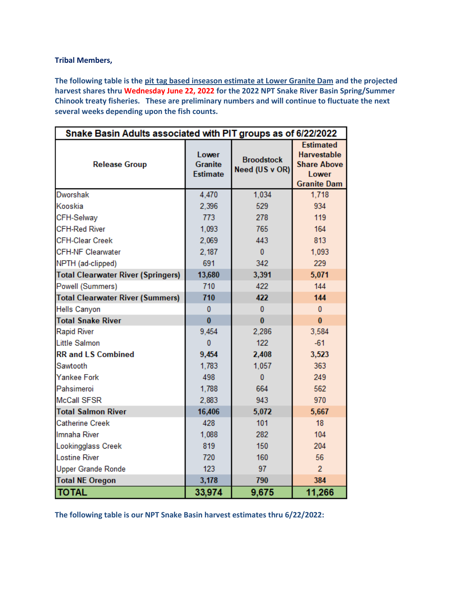## **Tribal Members,**

**The following table is the pit tag based inseason estimate at Lower Granite Dam and the projected harvest shares thru Wednesday June 22, 2022 for the 2022 NPT Snake River Basin Spring/Summer Chinook treaty fisheries. These are preliminary numbers and will continue to fluctuate the next several weeks depending upon the fish counts.**

| Snake Basin Adults associated with PIT groups as of 6/22/2022 |                                            |                                     |                                                                                             |  |  |  |  |
|---------------------------------------------------------------|--------------------------------------------|-------------------------------------|---------------------------------------------------------------------------------------------|--|--|--|--|
| <b>Release Group</b>                                          | Lower<br><b>Granite</b><br><b>Estimate</b> | <b>Broodstock</b><br>Need (US v OR) | <b>Estimated</b><br><b>Harvestable</b><br><b>Share Above</b><br>Lower<br><b>Granite Dam</b> |  |  |  |  |
| <b>Dworshak</b>                                               | 4,470                                      | 1,034                               | 1,718                                                                                       |  |  |  |  |
| Kooskia                                                       | 2,396                                      | 529                                 | 934                                                                                         |  |  |  |  |
| CFH-Selway                                                    | 773                                        | 278                                 | 119                                                                                         |  |  |  |  |
| <b>CFH-Red River</b>                                          | 1,093                                      | 765                                 | 164                                                                                         |  |  |  |  |
| <b>CFH-Clear Creek</b>                                        | 2,069                                      | 443                                 | 813                                                                                         |  |  |  |  |
| <b>CFH-NF Clearwater</b>                                      | 2,187                                      | $\mathbf{0}$                        | 1,093                                                                                       |  |  |  |  |
| NPTH (ad-clipped)                                             | 691                                        | 342                                 | 229                                                                                         |  |  |  |  |
| <b>Total Clearwater River (Springers)</b>                     | 13,680                                     | 3,391                               | 5,071                                                                                       |  |  |  |  |
| Powell (Summers)                                              | 710                                        | 422                                 | 144                                                                                         |  |  |  |  |
| <b>Total Clearwater River (Summers)</b>                       | 710                                        | 422                                 | 144                                                                                         |  |  |  |  |
| <b>Hells Canyon</b>                                           | $\mathbf{0}$                               | 0                                   | $\mathbf{0}$                                                                                |  |  |  |  |
| <b>Total Snake River</b>                                      | $\bf{0}$                                   | $\bf{0}$                            | $\bf{0}$                                                                                    |  |  |  |  |
| <b>Rapid River</b>                                            | 9,454                                      | 2,286                               | 3,584                                                                                       |  |  |  |  |
| Little Salmon                                                 | $\bf{0}$                                   | 122                                 | $-61$                                                                                       |  |  |  |  |
| <b>RR and LS Combined</b>                                     | 9,454                                      | 2,408                               | 3,523                                                                                       |  |  |  |  |
| Sawtooth                                                      | 1,783                                      | 1,057                               | 363                                                                                         |  |  |  |  |
| Yankee Fork                                                   | 498                                        | $\mathbf{0}$                        | 249                                                                                         |  |  |  |  |
| Pahsimeroi                                                    | 1,788                                      | 664                                 | 562                                                                                         |  |  |  |  |
| <b>McCall SFSR</b>                                            | 2,883                                      | 943                                 | 970                                                                                         |  |  |  |  |
| <b>Total Salmon River</b>                                     | 16,406                                     | 5,072                               | 5,667                                                                                       |  |  |  |  |
| <b>Catherine Creek</b>                                        | 428                                        | 101                                 | 18                                                                                          |  |  |  |  |
| Imnaha River                                                  | 1,088                                      | 282                                 | 104                                                                                         |  |  |  |  |
| Lookingglass Creek                                            | 819                                        | 150                                 | 204                                                                                         |  |  |  |  |
| <b>Lostine River</b>                                          | 720                                        | 160                                 | 56                                                                                          |  |  |  |  |
| <b>Upper Grande Ronde</b>                                     | 123                                        | 97                                  | $\overline{2}$                                                                              |  |  |  |  |
| <b>Total NE Oregon</b>                                        | 3,178                                      | 790                                 | 384                                                                                         |  |  |  |  |
| <b>TOTAL</b>                                                  | 33,974                                     | 9,675                               | 11,266                                                                                      |  |  |  |  |

**The following table is our NPT Snake Basin harvest estimates thru 6/22/2022:**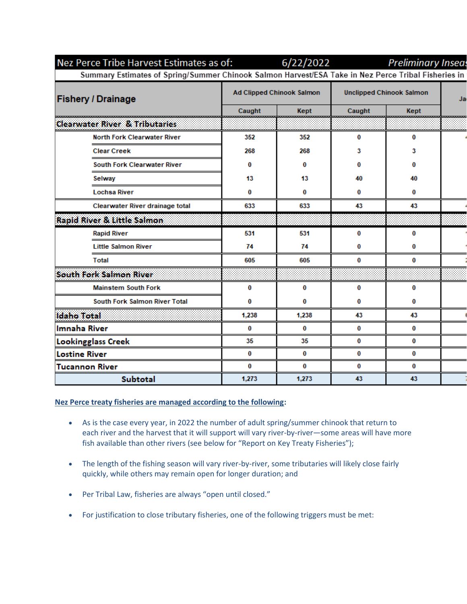| Nez Perce Tribe Harvest Estimates as of: 6/22/2022 Preliminary Inseases                             |                                  |       |                                 |      |    |  |
|-----------------------------------------------------------------------------------------------------|----------------------------------|-------|---------------------------------|------|----|--|
| Summary Estimates of Spring/Summer Chinook Salmon Harvest/ESA Take in Nez Perce Tribal Fisheries in |                                  |       |                                 |      |    |  |
| <b>Fishery / Drainage</b>                                                                           | <b>Ad Clipped Chinook Salmon</b> |       | <b>Unclipped Chinook Salmon</b> |      | Ja |  |
|                                                                                                     | Caught                           | Kept  | Caught                          | Kept |    |  |
| <b>Clearwater River &amp; Tributaries</b>                                                           |                                  |       |                                 |      |    |  |
| <b>North Fork Clearwater River</b>                                                                  | 352                              | 352   | 0                               | 0    |    |  |
| <b>Clear Creek</b>                                                                                  | 268                              | 268   | 3                               | 3    |    |  |
| <b>South Fork Clearwater River</b>                                                                  | 0                                | 0     | 0                               | 0    |    |  |
| Selway                                                                                              | 13                               | 13    | 40                              | 40   |    |  |
| <b>Lochsa River</b>                                                                                 | 0                                | 0     | 0                               | 0    |    |  |
| <b>Clearwater River drainage total</b>                                                              | 633                              | 633   | 43                              | 43   |    |  |
| <b>Rapid River &amp; Little Salmon</b>                                                              |                                  |       |                                 |      |    |  |
| <b>Rapid River</b>                                                                                  | 531                              | 531   | 0                               | 0    |    |  |
| <b>Little Salmon River</b>                                                                          | 74                               | 74    | 0                               | 0    |    |  |
| <b>Total</b>                                                                                        | 605                              | 605   | 0                               | 0    |    |  |
| <b>South Fork Salmon River</b>                                                                      |                                  |       |                                 |      |    |  |
| <b>Mainstem South Fork</b>                                                                          | 0                                | 0     | 0                               | 0    |    |  |
| <b>South Fork Salmon River Total</b>                                                                | 0                                | 0     | 0                               | 0    |    |  |
| <b>Idaho Total</b>                                                                                  | 1,238                            | 1,238 | 43                              | 43   |    |  |
| <b>Imnaha River</b>                                                                                 | 0                                | 0     | 0                               | 0    |    |  |
| <b>Lookingglass Creek</b>                                                                           | 35                               | 35    | 0                               | 0    |    |  |
| <b>Lostine River</b>                                                                                | 0                                | 0     | 0                               | 0    |    |  |
| <b>Tucannon River</b>                                                                               | 0                                | 0     | 0                               | 0    |    |  |
| <b>Subtotal</b>                                                                                     | 1,273                            | 1,273 | 43                              | 43   |    |  |

## **Nez Perce treaty fisheries are managed according to the following:**

- As is the case every year, in 2022 the number of adult spring/summer chinook that return to each river and the harvest that it will support will vary river-by-river—some areas will have more fish available than other rivers (see below for "Report on Key Treaty Fisheries");
- The length of the fishing season will vary river-by-river, some tributaries will likely close fairly quickly, while others may remain open for longer duration; and
- Per Tribal Law, fisheries are always "open until closed."
- For justification to close tributary fisheries, one of the following triggers must be met: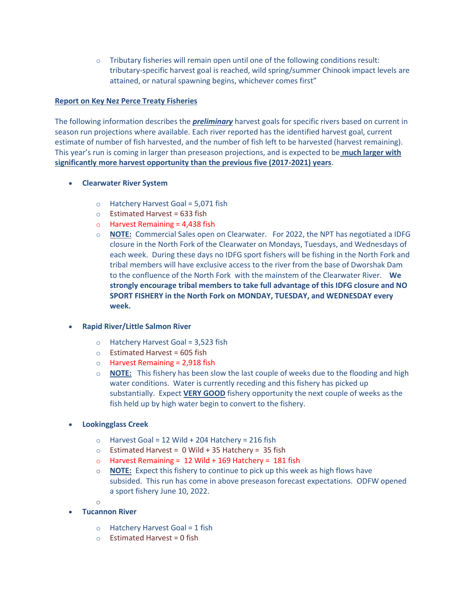$\circ$  Tributary fisheries will remain open until one of the following conditions result: tributary-specific harvest goal is reached, wild spring/summer Chinook impact levels are attained, or natural spawning begins, whichever comes first"

## **Report on Key Nez Perce Treaty Fisheries**

The following information describes the *preliminary* harvest goals for specific rivers based on current in season run projections where available. Each river reported has the identified harvest goal, current estimate of number of fish harvested, and the number of fish left to be harvested (harvest remaining). This year's run is coming in larger than preseason projections, and is expected to be **much larger with significantly more harvest opportunity than the previous five (2017-2021) years**.

- **Clearwater River System** 
	- $\circ$  Hatchery Harvest Goal = 5,071 fish
	- $\circ$  Estimated Harvest = 633 fish
	- $\circ$  Harvest Remaining = 4,438 fish
	- o **NOTE:** Commercial Sales open on Clearwater. For 2022, the NPT has negotiated a IDFG closure in the North Fork of the Clearwater on Mondays, Tuesdays, and Wednesdays of each week. During these days no IDFG sport fishers will be fishing in the North Fork and tribal members will have exclusive access to the river from the base of Dworshak Dam to the confluence of the North Fork with the mainstem of the Clearwater River. **We strongly encourage tribal members to take full advantage of this IDFG closure and NO SPORT FISHERY in the North Fork on MONDAY, TUESDAY, and WEDNESDAY every week.**

# **Rapid River/Little Salmon River**

- $\circ$  Hatchery Harvest Goal = 3,523 fish
- $\circ$  Estimated Harvest = 605 fish
- $\circ$  Harvest Remaining = 2,918 fish
- o **NOTE:** This fishery has been slow the last couple of weeks due to the flooding and high water conditions. Water is currently receding and this fishery has picked up substantially. Expect **VERY GOOD** fishery opportunity the next couple of weeks as the fish held up by high water begin to convert to the fishery.
- **Lookingglass Creek**
	- $\circ$  Harvest Goal = 12 Wild + 204 Hatchery = 216 fish
	- $\circ$  Estimated Harvest = 0 Wild + 35 Hatchery = 35 fish
	- $\circ$  Harvest Remaining = 12 Wild + 169 Hatchery = 181 fish
	- o **NOTE:** Expect this fishery to continue to pick up this week as high flows have subsided. This run has come in above preseason forecast expectations. ODFW opened a sport fishery June 10, 2022.
	- o
	- **Tucannon River**
		- $\circ$  Hatchery Harvest Goal = 1 fish
		- $\circ$  Estimated Harvest = 0 fish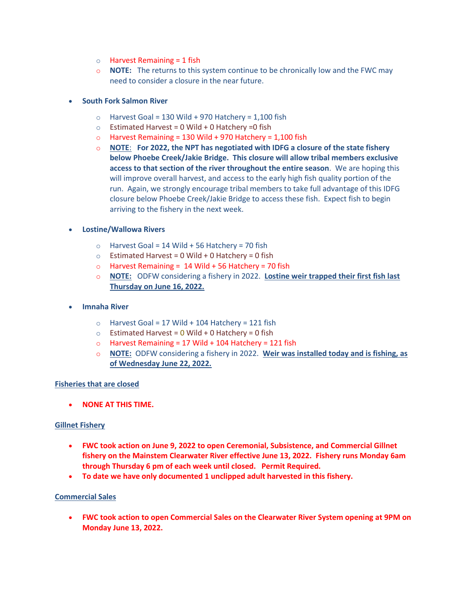- $\circ$  Harvest Remaining = 1 fish
- o **NOTE:** The returns to this system continue to be chronically low and the FWC may need to consider a closure in the near future.

## **South Fork Salmon River**

- $\circ$  Harvest Goal = 130 Wild + 970 Hatchery = 1,100 fish
- $\circ$  Estimated Harvest = 0 Wild + 0 Hatchery = 0 fish
- $\circ$  Harvest Remaining = 130 Wild + 970 Hatchery = 1,100 fish
- o **NOTE**: **For 2022, the NPT has negotiated with IDFG a closure of the state fishery below Phoebe Creek/Jakie Bridge. This closure will allow tribal members exclusive access to that section of the river throughout the entire season**. We are hoping this will improve overall harvest, and access to the early high fish quality portion of the run. Again, we strongly encourage tribal members to take full advantage of this IDFG closure below Phoebe Creek/Jakie Bridge to access these fish. Expect fish to begin arriving to the fishery in the next week.

### **Lostine/Wallowa Rivers**

- $\circ$  Harvest Goal = 14 Wild + 56 Hatchery = 70 fish
- $\circ$  Estimated Harvest = 0 Wild + 0 Hatchery = 0 fish
- $\circ$  Harvest Remaining = 14 Wild + 56 Hatchery = 70 fish
- o **NOTE:** ODFW considering a fishery in 2022. **Lostine weir trapped their first fish last Thursday on June 16, 2022.**
- **Imnaha River**
	- $\circ$  Harvest Goal = 17 Wild + 104 Hatchery = 121 fish
	- $\circ$  Estimated Harvest = 0 Wild + 0 Hatchery = 0 fish
	- $\circ$  Harvest Remaining = 17 Wild + 104 Hatchery = 121 fish
	- o **NOTE:** ODFW considering a fishery in 2022. **Weir was installed today and is fishing, as of Wednesday June 22, 2022.**

#### **Fisheries that are closed**

**NONE AT THIS TIME.**

#### **Gillnet Fishery**

- **FWC took action on June 9, 2022 to open Ceremonial, Subsistence, and Commercial Gillnet fishery on the Mainstem Clearwater River effective June 13, 2022. Fishery runs Monday 6am through Thursday 6 pm of each week until closed. Permit Required.**
- **To date we have only documented 1 unclipped adult harvested in this fishery.**

#### **Commercial Sales**

 **FWC took action to open Commercial Sales on the Clearwater River System opening at 9PM on Monday June 13, 2022.**